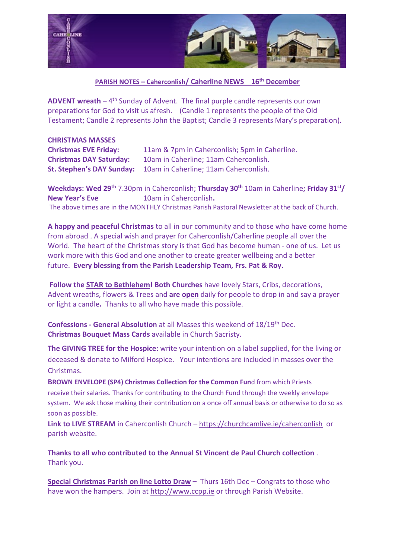

## **PARISH NOTES – Caherconlish/ Caherline NEWS 16th December**

**ADVENT wreath** – 4<sup>th</sup> Sunday of Advent. The final purple candle represents our own preparations for God to visit us afresh. (Candle 1 represents the people of the Old Testament; Candle 2 represents John the Baptist; Candle 3 represents Mary's preparation).

| <b>CHRISTMAS MASSES</b>          |                                               |
|----------------------------------|-----------------------------------------------|
| <b>Christmas EVE Friday:</b>     | 11am & 7pm in Caherconlish; 5pm in Caherline. |
| <b>Christmas DAY Saturday:</b>   | 10am in Caherline; 11am Caherconlish.         |
| <b>St. Stephen's DAY Sunday:</b> | 10am in Caherline; 11am Caherconlish.         |

**Weekdays: Wed 29th** 7.30pm in Caherconlish; **Thursday 30th** 10am in Caherline**; Friday 31st/ New Year's Eve** 10am in Caherconlish**.** The above times are in the MONTHLY Christmas Parish Pastoral Newsletter at the back of Church.

**A happy and peaceful Christmas** to all in our community and to those who have come home from abroad . A special wish and prayer for Caherconlish/Caherline people all over the World. The heart of the Christmas story is that God has become human - one of us. Let us work more with this God and one another to create greater wellbeing and a better future. **Every blessing from the Parish Leadership Team, Frs. Pat & Roy.**

**Follow the STAR to Bethlehem! Both Churches** have lovely Stars, Cribs, decorations, Advent wreaths, flowers & Trees and **are open** daily for people to drop in and say a prayer or light a candle**.** Thanks to all who have made this possible.

**Confessions - General Absolution** at all Masses this weekend of 18/19th Dec. **Christmas Bouquet Mass Cards** available in Church Sacristy.

**The GIVING TREE for the Hospice:** write your intention on a label supplied, for the living or deceased & donate to Milford Hospice. Your intentions are included in masses over the **Christmas** 

**BROWN ENVELOPE (SP4) Christmas Collection for the Common Fun**d from which Priests receive their salaries. Thanks for contributing to the Church Fund through the weekly envelope system. We ask those making their contribution on a once off annual basis or otherwise to do so as soon as possible.

**Link to LIVE STREAM** in Caherconlish Church – <https://churchcamlive.ie/caherconlish>or parish website.

**Thanks to all who contributed to the Annual St Vincent de Paul Church collection** . Thank you.

**Special Christmas Parish on line Lotto Draw –** Thurs 16th Dec – Congrats to those who have won the hampers. Join at [http://www.ccpp.ie](http://www.ccpp.ie/) or through Parish Website.